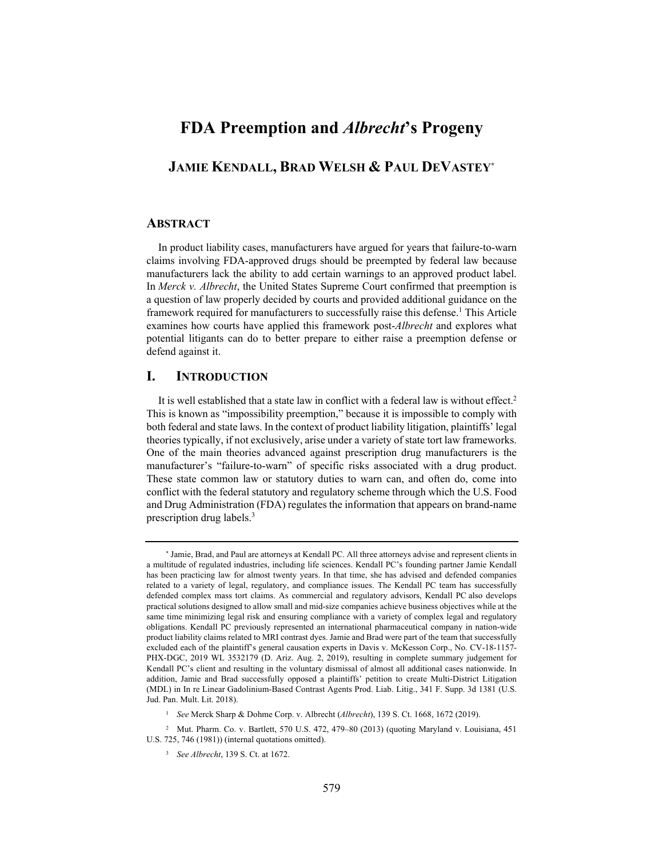# **FDA Preemption and** *Albrecht***'s Progeny**

## **JAMIE KENDALL, BRAD WELSH & PAUL DEVASTEY\***

#### **ABSTRACT**

In product liability cases, manufacturers have argued for years that failure-to-warn claims involving FDA-approved drugs should be preempted by federal law because manufacturers lack the ability to add certain warnings to an approved product label. In *Merck v. Albrecht*, the United States Supreme Court confirmed that preemption is a question of law properly decided by courts and provided additional guidance on the framework required for manufacturers to successfully raise this defense.<sup>1</sup> This Article examines how courts have applied this framework post-*Albrecht* and explores what potential litigants can do to better prepare to either raise a preemption defense or defend against it.

### **I. INTRODUCTION**

It is well established that a state law in conflict with a federal law is without effect.<sup>2</sup> This is known as "impossibility preemption," because it is impossible to comply with both federal and state laws. In the context of product liability litigation, plaintiffs' legal theories typically, if not exclusively, arise under a variety of state tort law frameworks. One of the main theories advanced against prescription drug manufacturers is the manufacturer's "failure-to-warn" of specific risks associated with a drug product. These state common law or statutory duties to warn can, and often do, come into conflict with the federal statutory and regulatory scheme through which the U.S. Food and Drug Administration (FDA) regulates the information that appears on brand-name prescription drug labels.3

<sup>\*</sup> Jamie, Brad, and Paul are attorneys at Kendall PC. All three attorneys advise and represent clients in a multitude of regulated industries, including life sciences. Kendall PC's founding partner Jamie Kendall has been practicing law for almost twenty years. In that time, she has advised and defended companies related to a variety of legal, regulatory, and compliance issues. The Kendall PC team has successfully defended complex mass tort claims. As commercial and regulatory advisors, Kendall PC also develops practical solutions designed to allow small and mid-size companies achieve business objectives while at the same time minimizing legal risk and ensuring compliance with a variety of complex legal and regulatory obligations. Kendall PC previously represented an international pharmaceutical company in nation-wide product liability claims related to MRI contrast dyes. Jamie and Brad were part of the team that successfully excluded each of the plaintiff's general causation experts in Davis v. McKesson Corp., No. CV-18-1157- PHX-DGC, 2019 WL 3532179 (D. Ariz. Aug. 2, 2019), resulting in complete summary judgement for Kendall PC's client and resulting in the voluntary dismissal of almost all additional cases nationwide. In addition, Jamie and Brad successfully opposed a plaintiffs' petition to create Multi-District Litigation (MDL) in In re Linear Gadolinium-Based Contrast Agents Prod. Liab. Litig., 341 F. Supp. 3d 1381 (U.S. Jud. Pan. Mult. Lit. 2018).

<sup>1</sup> *See* Merck Sharp & Dohme Corp. v. Albrecht (*Albrecht*), 139 S. Ct. 1668, 1672 (2019).

<sup>2</sup> Mut. Pharm. Co. v. Bartlett, 570 U.S. 472, 479–80 (2013) (quoting Maryland v. Louisiana, 451 U.S. 725, 746 (1981)) (internal quotations omitted).

<sup>3</sup> *See Albrecht*, 139 S. Ct. at 1672.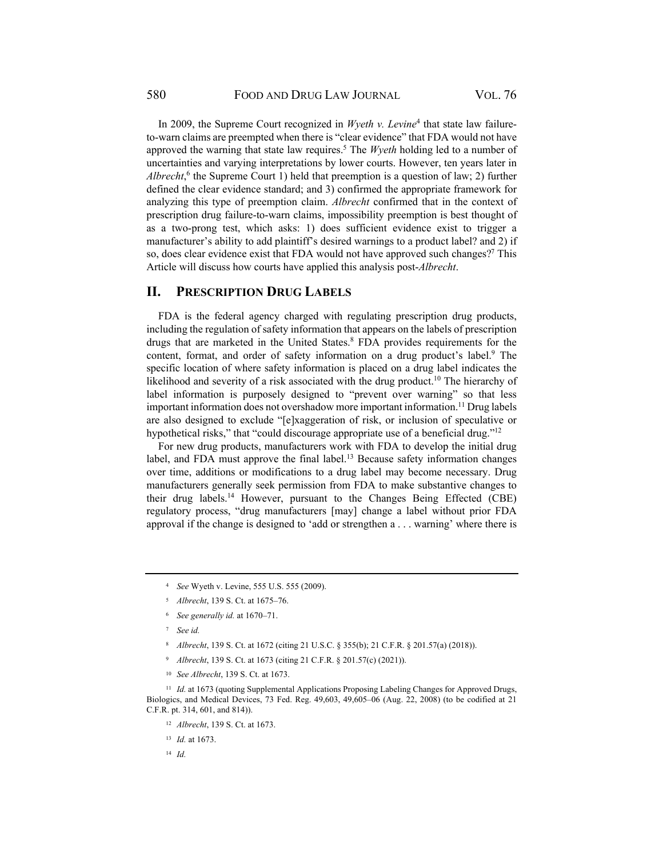In 2009, the Supreme Court recognized in *Wyeth v. Levine*<sup>4</sup> that state law failureto-warn claims are preempted when there is "clear evidence" that FDA would not have approved the warning that state law requires.<sup>5</sup> The *Wyeth* holding led to a number of uncertainties and varying interpretations by lower courts. However, ten years later in Albrecht,<sup>6</sup> the Supreme Court 1) held that preemption is a question of law; 2) further defined the clear evidence standard; and 3) confirmed the appropriate framework for analyzing this type of preemption claim. *Albrecht* confirmed that in the context of prescription drug failure-to-warn claims, impossibility preemption is best thought of as a two-prong test, which asks: 1) does sufficient evidence exist to trigger a manufacturer's ability to add plaintiff's desired warnings to a product label? and 2) if so, does clear evidence exist that FDA would not have approved such changes?<sup>7</sup> This Article will discuss how courts have applied this analysis post-*Albrecht*.

## **II. PRESCRIPTION DRUG LABELS**

FDA is the federal agency charged with regulating prescription drug products, including the regulation of safety information that appears on the labels of prescription drugs that are marketed in the United States.<sup>8</sup> FDA provides requirements for the content, format, and order of safety information on a drug product's label.<sup>9</sup> The specific location of where safety information is placed on a drug label indicates the likelihood and severity of a risk associated with the drug product.<sup>10</sup> The hierarchy of label information is purposely designed to "prevent over warning" so that less important information does not overshadow more important information.<sup>11</sup> Drug labels are also designed to exclude "[e]xaggeration of risk, or inclusion of speculative or hypothetical risks," that "could discourage appropriate use of a beneficial drug."<sup>12</sup>

For new drug products, manufacturers work with FDA to develop the initial drug label, and FDA must approve the final label.<sup>13</sup> Because safety information changes over time, additions or modifications to a drug label may become necessary. Drug manufacturers generally seek permission from FDA to make substantive changes to their drug labels.<sup>14</sup> However, pursuant to the Changes Being Effected (CBE) regulatory process, "drug manufacturers [may] change a label without prior FDA approval if the change is designed to 'add or strengthen a . . . warning' where there is

- <sup>8</sup> *Albrecht*, 139 S. Ct. at 1672 (citing 21 U.S.C. § 355(b); 21 C.F.R. § 201.57(a) (2018)).
- <sup>9</sup> *Albrecht*, 139 S. Ct. at 1673 (citing 21 C.F.R. § 201.57(c) (2021)).
- <sup>10</sup> *See Albrecht*, 139 S. Ct. at 1673.

<sup>11</sup> *Id.* at 1673 (quoting Supplemental Applications Proposing Labeling Changes for Approved Drugs, Biologics, and Medical Devices, 73 Fed. Reg. 49,603, 49,605–06 (Aug. 22, 2008) (to be codified at 21 C.F.R. pt. 314, 601, and 814)).

<sup>12</sup> *Albrecht*, 139 S. Ct. at 1673.

<sup>13</sup> *Id.* at 1673.

<sup>4</sup> *See* Wyeth v. Levine, 555 U.S. 555 (2009).

<sup>5</sup> *Albrecht*, 139 S. Ct. at 1675–76.

<sup>6</sup> *See generally id.* at 1670–71.

<sup>7</sup> *See id.*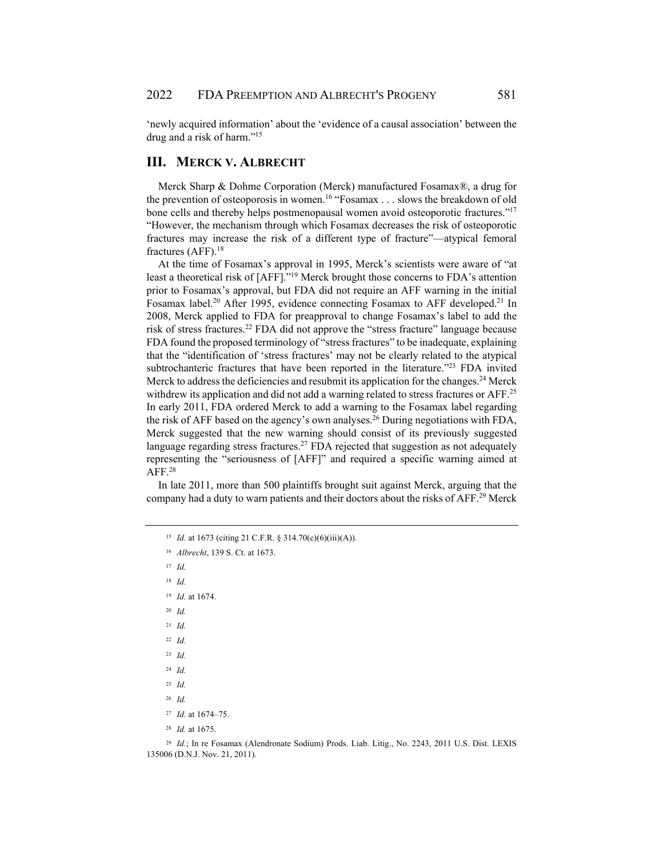'newly acquired information' about the 'evidence of a causal association' between the drug and a risk of harm."15

### **III. MERCK V. ALBRECHT**

Merck Sharp & Dohme Corporation (Merck) manufactured Fosamax®, a drug for the prevention of osteoporosis in women.<sup>16</sup> "Fosamax  $\dots$  slows the breakdown of old bone cells and thereby helps postmenopausal women avoid osteoporotic fractures."<sup>17</sup> "However, the mechanism through which Fosamax decreases the risk of osteoporotic fractures may increase the risk of a different type of fracture"—atypical femoral fractures (AFF).18

At the time of Fosamax's approval in 1995, Merck's scientists were aware of "at least a theoretical risk of [AFF]."19 Merck brought those concerns to FDA's attention prior to Fosamax's approval, but FDA did not require an AFF warning in the initial Fosamax label.<sup>20</sup> After 1995, evidence connecting Fosamax to AFF developed.<sup>21</sup> In 2008, Merck applied to FDA for preapproval to change Fosamax's label to add the risk of stress fractures.22 FDA did not approve the "stress fracture" language because FDA found the proposed terminology of "stress fractures" to be inadequate, explaining that the "identification of 'stress fractures' may not be clearly related to the atypical subtrochanteric fractures that have been reported in the literature."<sup>23</sup> FDA invited Merck to address the deficiencies and resubmit its application for the changes.<sup>24</sup> Merck withdrew its application and did not add a warning related to stress fractures or AFF.<sup>25</sup> In early 2011, FDA ordered Merck to add a warning to the Fosamax label regarding the risk of AFF based on the agency's own analyses.26 During negotiations with FDA, Merck suggested that the new warning should consist of its previously suggested language regarding stress fractures.<sup>27</sup> FDA rejected that suggestion as not adequately representing the "seriousness of [AFF]" and required a specific warning aimed at AFF.28

In late 2011, more than 500 plaintiffs brought suit against Merck, arguing that the company had a duty to warn patients and their doctors about the risks of AFF.<sup>29</sup> Merck

<sup>17</sup> *Id.*

<sup>18</sup> *Id.*

<sup>19</sup> *Id.* at 1674.

<sup>20</sup> *Id.*

<sup>21</sup> *Id.*

<sup>22</sup> *Id.*

<sup>23</sup> *Id.*

<sup>24</sup> *Id.*

<sup>25</sup> *Id.*

<sup>26</sup> *Id.*

<sup>29</sup> Id.; In re Fosamax (Alendronate Sodium) Prods. Liab. Litig., No. 2243, 2011 U.S. Dist. LEXIS 135006 (D.N.J. Nov. 21, 2011).

<sup>15</sup> *Id.* at 1673 (citing 21 C.F.R. § 314.70(c)(6)(iii)(A)).

<sup>16</sup> *Albrecht*, 139 S. Ct. at 1673.

<sup>27</sup> *Id.* at 1674–75.

<sup>28</sup> *Id.* at 1675.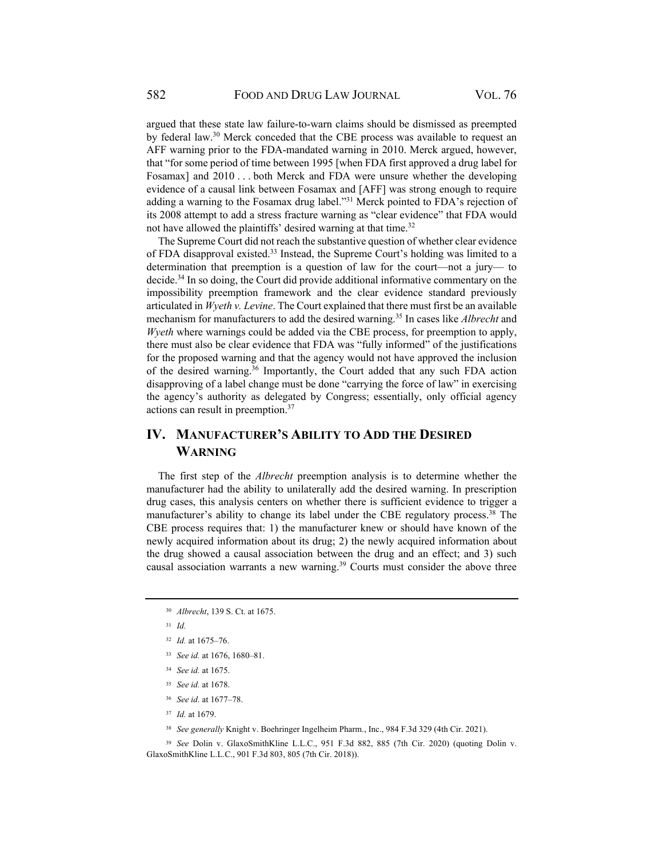argued that these state law failure-to-warn claims should be dismissed as preempted by federal law.30 Merck conceded that the CBE process was available to request an AFF warning prior to the FDA-mandated warning in 2010. Merck argued, however, that "for some period of time between 1995 [when FDA first approved a drug label for Fosamax] and 2010 . . . both Merck and FDA were unsure whether the developing evidence of a causal link between Fosamax and [AFF] was strong enough to require adding a warning to the Fosamax drug label."31 Merck pointed to FDA's rejection of its 2008 attempt to add a stress fracture warning as "clear evidence" that FDA would not have allowed the plaintiffs' desired warning at that time.<sup>32</sup>

The Supreme Court did not reach the substantive question of whether clear evidence of FDA disapproval existed.33 Instead, the Supreme Court's holding was limited to a determination that preemption is a question of law for the court—not a jury— to decide.<sup>34</sup> In so doing, the Court did provide additional informative commentary on the impossibility preemption framework and the clear evidence standard previously articulated in *Wyeth v. Levine*. The Court explained that there must first be an available mechanism for manufacturers to add the desired warning.35 In cases like *Albrecht* and *Wyeth* where warnings could be added via the CBE process, for preemption to apply, there must also be clear evidence that FDA was "fully informed" of the justifications for the proposed warning and that the agency would not have approved the inclusion of the desired warning.36 Importantly, the Court added that any such FDA action disapproving of a label change must be done "carrying the force of law" in exercising the agency's authority as delegated by Congress; essentially, only official agency actions can result in preemption.37

# **IV. MANUFACTURER'S ABILITY TO ADD THE DESIRED WARNING**

The first step of the *Albrecht* preemption analysis is to determine whether the manufacturer had the ability to unilaterally add the desired warning. In prescription drug cases, this analysis centers on whether there is sufficient evidence to trigger a manufacturer's ability to change its label under the CBE regulatory process.<sup>38</sup> The CBE process requires that: 1) the manufacturer knew or should have known of the newly acquired information about its drug; 2) the newly acquired information about the drug showed a causal association between the drug and an effect; and 3) such causal association warrants a new warning.39 Courts must consider the above three

- <sup>34</sup> *See id.* at 1675.
- <sup>35</sup> *See id.* at 1678.
- <sup>36</sup> *See id.* at 1677–78.
- <sup>37</sup> *Id.* at 1679.
- <sup>38</sup> *See generally* Knight v. Boehringer Ingelheim Pharm., Inc., 984 F.3d 329 (4th Cir. 2021).
- <sup>39</sup> *See* Dolin v. GlaxoSmithKline L.L.C., 951 F.3d 882, 885 (7th Cir. 2020) (quoting Dolin v. GlaxoSmithKline L.L.C., 901 F.3d 803, 805 (7th Cir. 2018)).

<sup>30</sup> *Albrecht*, 139 S. Ct. at 1675.

<sup>32</sup> *Id.* at 1675–76.

<sup>33</sup> *See id.* at 1676, 1680–81.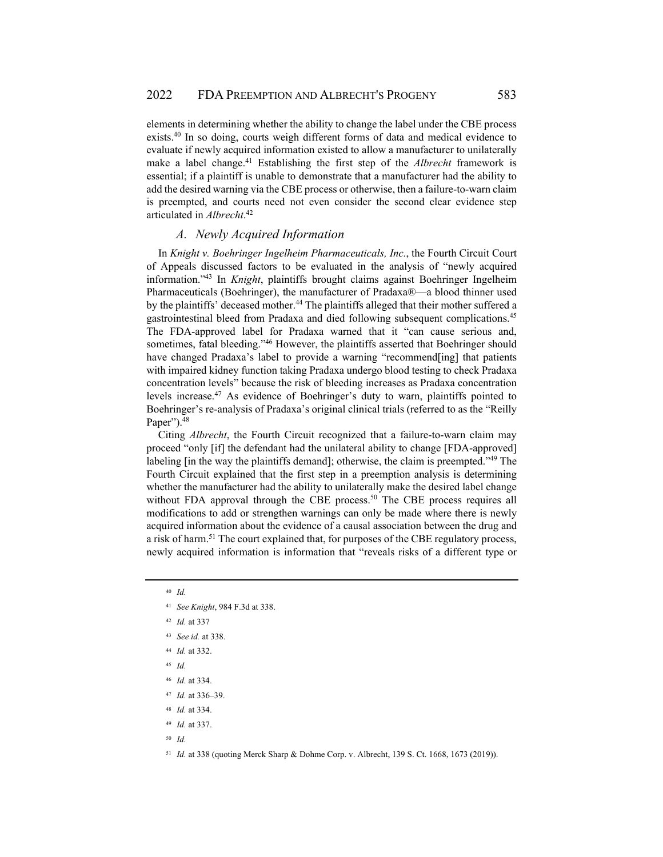elements in determining whether the ability to change the label under the CBE process exists.40 In so doing, courts weigh different forms of data and medical evidence to evaluate if newly acquired information existed to allow a manufacturer to unilaterally make a label change.41 Establishing the first step of the *Albrecht* framework is essential; if a plaintiff is unable to demonstrate that a manufacturer had the ability to add the desired warning via the CBE process or otherwise, then a failure-to-warn claim is preempted, and courts need not even consider the second clear evidence step articulated in *Albrecht*. 42

#### *A. Newly Acquired Information*

In *Knight v. Boehringer Ingelheim Pharmaceuticals, Inc.*, the Fourth Circuit Court of Appeals discussed factors to be evaluated in the analysis of "newly acquired information."43 In *Knight*, plaintiffs brought claims against Boehringer Ingelheim Pharmaceuticals (Boehringer), the manufacturer of Pradaxa®—a blood thinner used by the plaintiffs' deceased mother.<sup>44</sup> The plaintiffs alleged that their mother suffered a gastrointestinal bleed from Pradaxa and died following subsequent complications.45 The FDA-approved label for Pradaxa warned that it "can cause serious and, sometimes, fatal bleeding."46 However, the plaintiffs asserted that Boehringer should have changed Pradaxa's label to provide a warning "recommend[ing] that patients with impaired kidney function taking Pradaxa undergo blood testing to check Pradaxa concentration levels" because the risk of bleeding increases as Pradaxa concentration levels increase.47 As evidence of Boehringer's duty to warn, plaintiffs pointed to Boehringer's re-analysis of Pradaxa's original clinical trials (referred to as the "Reilly Paper").<sup>48</sup>

Citing *Albrecht*, the Fourth Circuit recognized that a failure-to-warn claim may proceed "only [if] the defendant had the unilateral ability to change [FDA-approved] labeling [in the way the plaintiffs demand]; otherwise, the claim is preempted."<sup>49</sup> The Fourth Circuit explained that the first step in a preemption analysis is determining whether the manufacturer had the ability to unilaterally make the desired label change without FDA approval through the CBE process.<sup>50</sup> The CBE process requires all modifications to add or strengthen warnings can only be made where there is newly acquired information about the evidence of a causal association between the drug and a risk of harm.51 The court explained that, for purposes of the CBE regulatory process, newly acquired information is information that "reveals risks of a different type or

- <sup>40</sup> *Id.*
- <sup>41</sup> *See Knight*, 984 F.3d at 338.
- <sup>42</sup> *Id.* at 337
- <sup>43</sup> *See id.* at 338.
- <sup>44</sup> *Id.* at 332.
- <sup>45</sup> *Id.*
- <sup>46</sup> *Id.* at 334.
- <sup>47</sup> *Id.* at 336–39.
- <sup>48</sup> *Id.* at 334.
- <sup>49</sup> *Id.* at 337.
- <sup>50</sup> *Id.*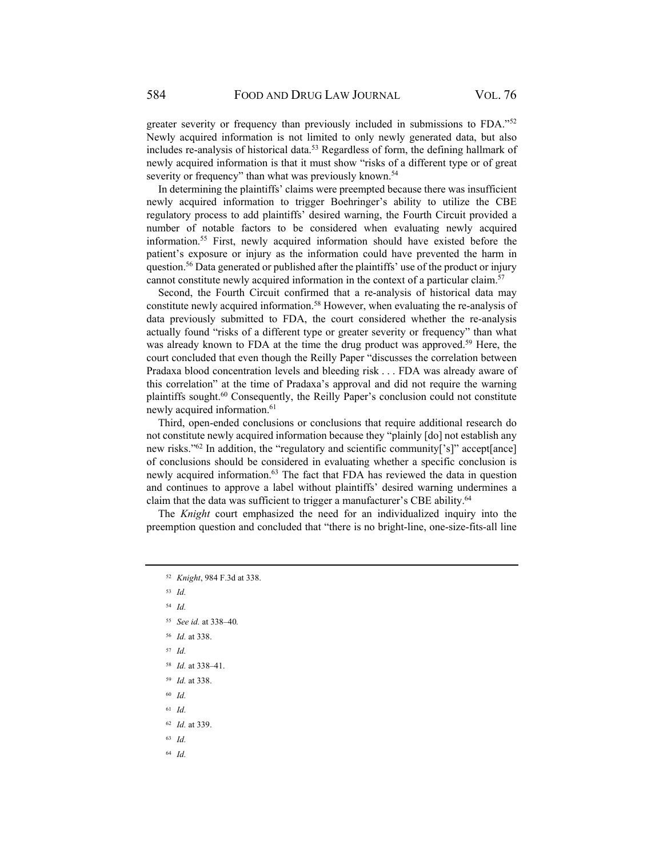greater severity or frequency than previously included in submissions to FDA."<sup>52</sup> Newly acquired information is not limited to only newly generated data, but also includes re-analysis of historical data.<sup>53</sup> Regardless of form, the defining hallmark of newly acquired information is that it must show "risks of a different type or of great severity or frequency" than what was previously known.<sup>54</sup>

In determining the plaintiffs' claims were preempted because there was insufficient newly acquired information to trigger Boehringer's ability to utilize the CBE regulatory process to add plaintiffs' desired warning, the Fourth Circuit provided a number of notable factors to be considered when evaluating newly acquired information.55 First, newly acquired information should have existed before the patient's exposure or injury as the information could have prevented the harm in question.<sup>56</sup> Data generated or published after the plaintiffs' use of the product or injury cannot constitute newly acquired information in the context of a particular claim.57

Second, the Fourth Circuit confirmed that a re-analysis of historical data may constitute newly acquired information.58 However, when evaluating the re-analysis of data previously submitted to FDA, the court considered whether the re-analysis actually found "risks of a different type or greater severity or frequency" than what was already known to FDA at the time the drug product was approved.<sup>59</sup> Here, the court concluded that even though the Reilly Paper "discusses the correlation between Pradaxa blood concentration levels and bleeding risk . . . FDA was already aware of this correlation" at the time of Pradaxa's approval and did not require the warning plaintiffs sought.60 Consequently, the Reilly Paper's conclusion could not constitute newly acquired information.<sup>61</sup>

Third, open-ended conclusions or conclusions that require additional research do not constitute newly acquired information because they "plainly [do] not establish any new risks."62 In addition, the "regulatory and scientific community['s]" accept[ance] of conclusions should be considered in evaluating whether a specific conclusion is newly acquired information.<sup>63</sup> The fact that FDA has reviewed the data in question and continues to approve a label without plaintiffs' desired warning undermines a claim that the data was sufficient to trigger a manufacturer's CBE ability.<sup>64</sup>

The *Knight* court emphasized the need for an individualized inquiry into the preemption question and concluded that "there is no bright-line, one-size-fits-all line

- <sup>52</sup> *Knight*, 984 F.3d at 338.
- <sup>53</sup> *Id.*
- <sup>54</sup> *Id.*
- <sup>55</sup> *See id.* at 338–40*.*
- <sup>56</sup> *Id.* at 338.
- <sup>57</sup> *Id.*
- <sup>58</sup> *Id.* at 338–41.
- <sup>59</sup> *Id.* at 338.
- <sup>60</sup> *Id.*
- <sup>61</sup> *Id.*
- <sup>62</sup> *Id.* at 339.
- <sup>63</sup> *Id.*
- 64 *Id.*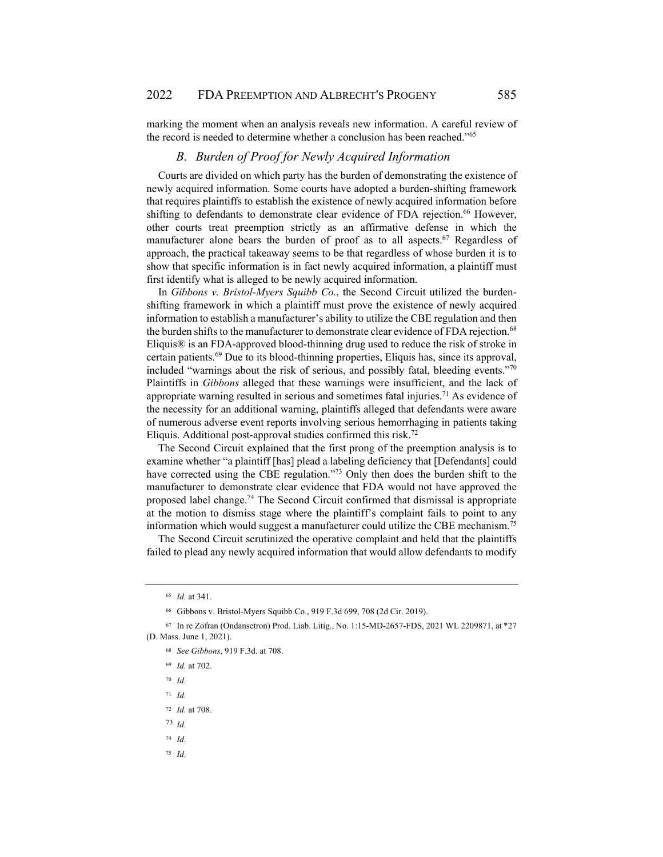marking the moment when an analysis reveals new information. A careful review of the record is needed to determine whether a conclusion has been reached."65

## *B. Burden of Proof for Newly Acquired Information*

Courts are divided on which party has the burden of demonstrating the existence of newly acquired information. Some courts have adopted a burden-shifting framework that requires plaintiffs to establish the existence of newly acquired information before shifting to defendants to demonstrate clear evidence of FDA rejection.<sup>66</sup> However, other courts treat preemption strictly as an affirmative defense in which the manufacturer alone bears the burden of proof as to all aspects.<sup>67</sup> Regardless of approach, the practical takeaway seems to be that regardless of whose burden it is to show that specific information is in fact newly acquired information, a plaintiff must first identify what is alleged to be newly acquired information.

In *Gibbons v. Bristol-Myers Squibb Co.*, the Second Circuit utilized the burdenshifting framework in which a plaintiff must prove the existence of newly acquired information to establish a manufacturer's ability to utilize the CBE regulation and then the burden shifts to the manufacturer to demonstrate clear evidence of FDA rejection.68 Eliquis® is an FDA-approved blood-thinning drug used to reduce the risk of stroke in certain patients.69 Due to its blood-thinning properties, Eliquis has, since its approval, included "warnings about the risk of serious, and possibly fatal, bleeding events."70 Plaintiffs in *Gibbons* alleged that these warnings were insufficient, and the lack of appropriate warning resulted in serious and sometimes fatal injuries.71 As evidence of the necessity for an additional warning, plaintiffs alleged that defendants were aware of numerous adverse event reports involving serious hemorrhaging in patients taking Eliquis. Additional post-approval studies confirmed this risk.72

The Second Circuit explained that the first prong of the preemption analysis is to examine whether "a plaintiff [has] plead a labeling deficiency that [Defendants] could have corrected using the CBE regulation."<sup>73</sup> Only then does the burden shift to the manufacturer to demonstrate clear evidence that FDA would not have approved the proposed label change.74 The Second Circuit confirmed that dismissal is appropriate at the motion to dismiss stage where the plaintiff's complaint fails to point to any information which would suggest a manufacturer could utilize the CBE mechanism.<sup>75</sup>

The Second Circuit scrutinized the operative complaint and held that the plaintiffs failed to plead any newly acquired information that would allow defendants to modify

- <sup>70</sup> *Id.*
- <sup>71</sup> *Id.*

<sup>73</sup> *Id.*

<sup>74</sup> *Id.*

<sup>65</sup> *Id.* at 341.

<sup>66</sup> Gibbons v. Bristol-Myers Squibb Co., 919 F.3d 699, 708 (2d Cir. 2019).

<sup>67</sup> In re Zofran (Ondansetron) Prod. Liab. Litig., No. 1:15-MD-2657-FDS, 2021 WL 2209871, at \*27 (D. Mass. June 1, 2021).

<sup>68</sup> *See Gibbons*, 919 F.3d. at 708.

<sup>69</sup> *Id.* at 702.

<sup>72</sup> *Id.* at 708.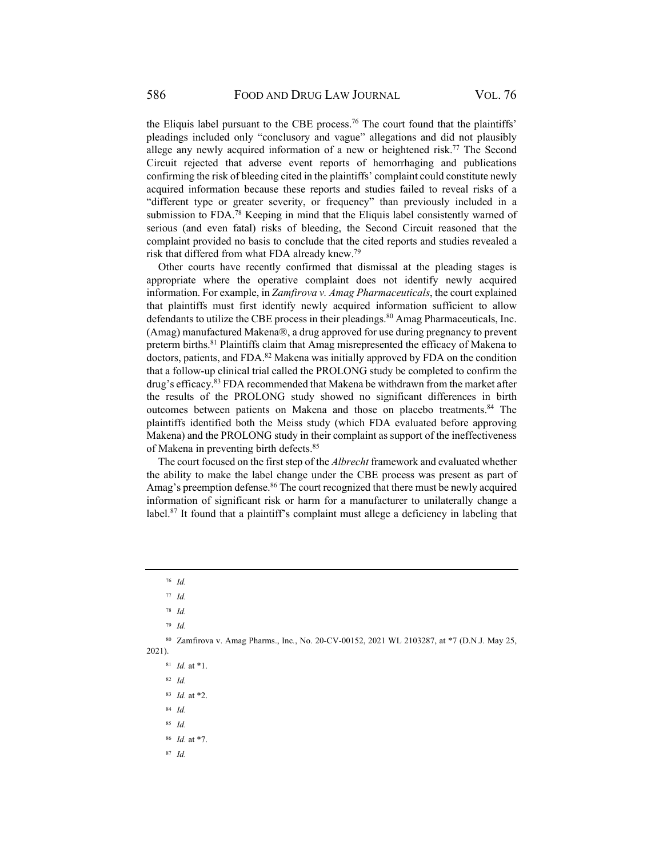the Eliquis label pursuant to the CBE process.<sup>76</sup> The court found that the plaintiffs' pleadings included only "conclusory and vague" allegations and did not plausibly allege any newly acquired information of a new or heightened risk.<sup>77</sup> The Second Circuit rejected that adverse event reports of hemorrhaging and publications confirming the risk of bleeding cited in the plaintiffs' complaint could constitute newly acquired information because these reports and studies failed to reveal risks of a "different type or greater severity, or frequency" than previously included in a submission to FDA.<sup>78</sup> Keeping in mind that the Eliquis label consistently warned of serious (and even fatal) risks of bleeding, the Second Circuit reasoned that the complaint provided no basis to conclude that the cited reports and studies revealed a risk that differed from what FDA already knew.79

Other courts have recently confirmed that dismissal at the pleading stages is appropriate where the operative complaint does not identify newly acquired information. For example, in *Zamfirova v. Amag Pharmaceuticals*, the court explained that plaintiffs must first identify newly acquired information sufficient to allow defendants to utilize the CBE process in their pleadings.<sup>80</sup> Amag Pharmaceuticals, Inc. (Amag) manufactured Makena®, a drug approved for use during pregnancy to prevent preterm births.<sup>81</sup> Plaintiffs claim that Amag misrepresented the efficacy of Makena to doctors, patients, and FDA.<sup>82</sup> Makena was initially approved by FDA on the condition that a follow-up clinical trial called the PROLONG study be completed to confirm the drug's efficacy.83 FDA recommended that Makena be withdrawn from the market after the results of the PROLONG study showed no significant differences in birth outcomes between patients on Makena and those on placebo treatments.<sup>84</sup> The plaintiffs identified both the Meiss study (which FDA evaluated before approving Makena) and the PROLONG study in their complaint as support of the ineffectiveness of Makena in preventing birth defects.85

The court focused on the first step of the *Albrecht* framework and evaluated whether the ability to make the label change under the CBE process was present as part of Amag's preemption defense.<sup>86</sup> The court recognized that there must be newly acquired information of significant risk or harm for a manufacturer to unilaterally change a label.<sup>87</sup> It found that a plaintiff's complaint must allege a deficiency in labeling that

- <sup>83</sup> *Id.* at \*2.
- <sup>84</sup> *Id.*

<sup>85</sup> *Id.*

<sup>86</sup> *Id.* at \*7.

<sup>76</sup> *Id.*

<sup>77</sup> *Id.*

<sup>78</sup> *Id.*

<sup>79</sup> *Id.*

<sup>80</sup> Zamfirova v. Amag Pharms., Inc*.*, No. 20-CV-00152, 2021 WL 2103287, at \*7 (D.N.J. May 25, 2021).

<sup>81</sup> *Id.* at \*1.

<sup>82</sup> *Id.*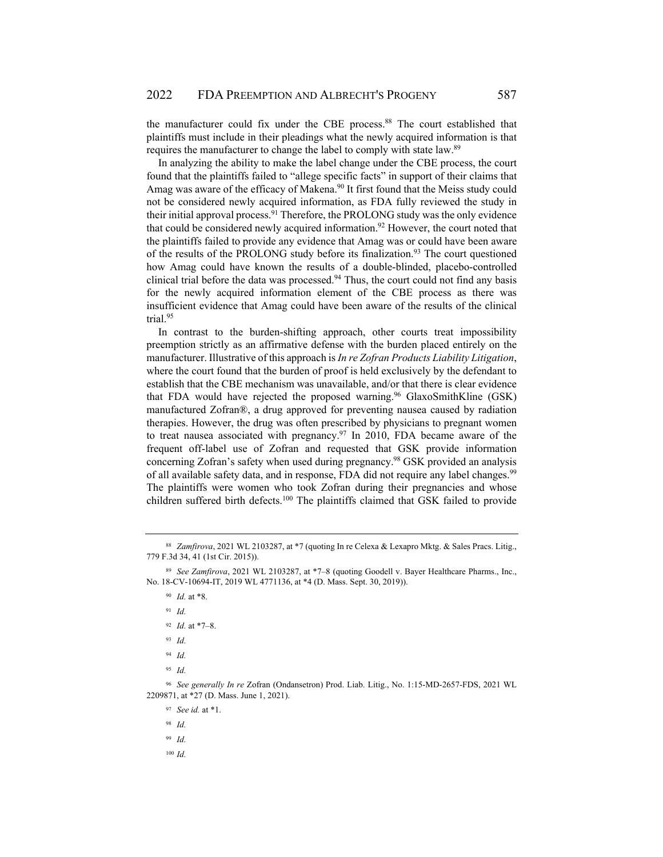the manufacturer could fix under the CBE process.<sup>88</sup> The court established that plaintiffs must include in their pleadings what the newly acquired information is that requires the manufacturer to change the label to comply with state law.89

In analyzing the ability to make the label change under the CBE process, the court found that the plaintiffs failed to "allege specific facts" in support of their claims that Amag was aware of the efficacy of Makena.<sup>90</sup> It first found that the Meiss study could not be considered newly acquired information, as FDA fully reviewed the study in their initial approval process.<sup>91</sup> Therefore, the PROLONG study was the only evidence that could be considered newly acquired information.<sup>92</sup> However, the court noted that the plaintiffs failed to provide any evidence that Amag was or could have been aware of the results of the PROLONG study before its finalization.93 The court questioned how Amag could have known the results of a double-blinded, placebo-controlled clinical trial before the data was processed. $94$  Thus, the court could not find any basis for the newly acquired information element of the CBE process as there was insufficient evidence that Amag could have been aware of the results of the clinical trial.95

In contrast to the burden-shifting approach, other courts treat impossibility preemption strictly as an affirmative defense with the burden placed entirely on the manufacturer. Illustrative of this approach is *In re Zofran Products Liability Litigation*, where the court found that the burden of proof is held exclusively by the defendant to establish that the CBE mechanism was unavailable, and/or that there is clear evidence that FDA would have rejected the proposed warning.<sup>96</sup> GlaxoSmithKline  $(GSK)$ manufactured Zofran®, a drug approved for preventing nausea caused by radiation therapies. However, the drug was often prescribed by physicians to pregnant women to treat nausea associated with pregnancy.<sup>97</sup> In 2010, FDA became aware of the frequent off-label use of Zofran and requested that GSK provide information concerning Zofran's safety when used during pregnancy.98 GSK provided an analysis of all available safety data, and in response, FDA did not require any label changes.<sup>99</sup> The plaintiffs were women who took Zofran during their pregnancies and whose children suffered birth defects.<sup>100</sup> The plaintiffs claimed that GSK failed to provide

- <sup>91</sup> *Id.*
- <sup>92</sup> *Id.* at \*7–8.
- <sup>93</sup> *Id.*
- <sup>94</sup> *Id.*
- <sup>95</sup> *Id.*

<sup>96</sup> *See generally In re* Zofran (Ondansetron) Prod. Liab. Litig., No. 1:15-MD-2657-FDS, 2021 WL 2209871, at \*27 (D. Mass. June 1, 2021).

- <sup>97</sup> *See id.* at \*1.
- <sup>98</sup> *Id.*

<sup>99</sup> *Id.*

<sup>88</sup> *Zamfirova*, 2021 WL 2103287, at \*7 (quoting In re Celexa & Lexapro Mktg. & Sales Pracs. Litig., 779 F.3d 34, 41 (1st Cir. 2015)).

<sup>89</sup> *See Zamfirova*, 2021 WL 2103287, at \*7–8 (quoting Goodell v. Bayer Healthcare Pharms., Inc., No. 18-CV-10694-IT, 2019 WL 4771136, at \*4 (D. Mass. Sept. 30, 2019)).

<sup>90</sup> *Id.* at \*8.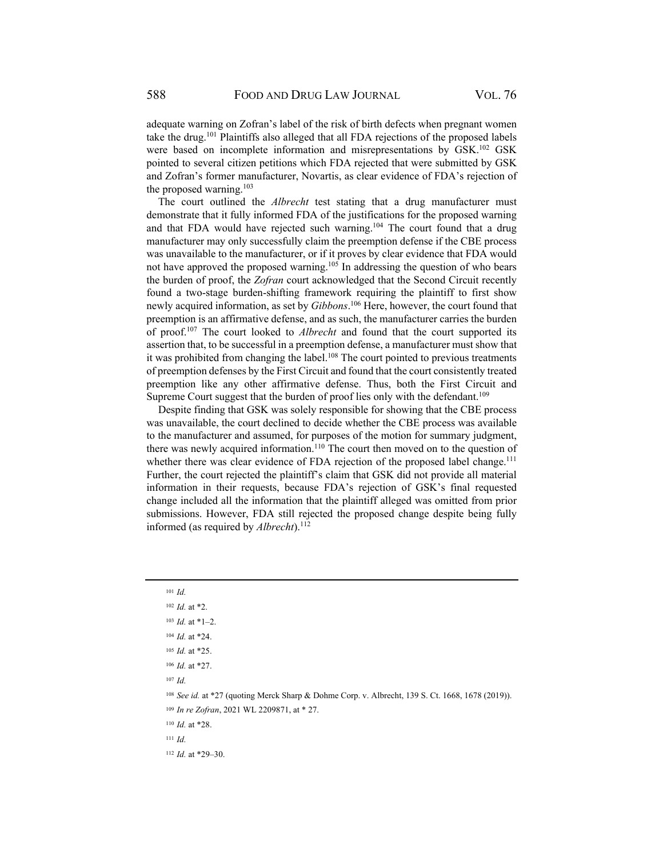adequate warning on Zofran's label of the risk of birth defects when pregnant women take the drug.101 Plaintiffs also alleged that all FDA rejections of the proposed labels were based on incomplete information and misrepresentations by GSK.<sup>102</sup> GSK pointed to several citizen petitions which FDA rejected that were submitted by GSK and Zofran's former manufacturer, Novartis, as clear evidence of FDA's rejection of the proposed warning. $103$ 

The court outlined the *Albrecht* test stating that a drug manufacturer must demonstrate that it fully informed FDA of the justifications for the proposed warning and that FDA would have rejected such warning.<sup>104</sup> The court found that a drug manufacturer may only successfully claim the preemption defense if the CBE process was unavailable to the manufacturer, or if it proves by clear evidence that FDA would not have approved the proposed warning.<sup>105</sup> In addressing the question of who bears the burden of proof, the *Zofran* court acknowledged that the Second Circuit recently found a two-stage burden-shifting framework requiring the plaintiff to first show newly acquired information, as set by *Gibbons*. 106 Here, however, the court found that preemption is an affirmative defense, and as such, the manufacturer carries the burden of proof.107 The court looked to *Albrecht* and found that the court supported its assertion that, to be successful in a preemption defense, a manufacturer must show that it was prohibited from changing the label. $108$  The court pointed to previous treatments of preemption defenses by the First Circuit and found that the court consistently treated preemption like any other affirmative defense. Thus, both the First Circuit and Supreme Court suggest that the burden of proof lies only with the defendant.<sup>109</sup>

Despite finding that GSK was solely responsible for showing that the CBE process was unavailable, the court declined to decide whether the CBE process was available to the manufacturer and assumed, for purposes of the motion for summary judgment, there was newly acquired information.<sup>110</sup> The court then moved on to the question of whether there was clear evidence of FDA rejection of the proposed label change.<sup>111</sup> Further, the court rejected the plaintiff's claim that GSK did not provide all material information in their requests, because FDA's rejection of GSK's final requested change included all the information that the plaintiff alleged was omitted from prior submissions. However, FDA still rejected the proposed change despite being fully informed (as required by *Albrecht*).<sup>112</sup>

<sup>107</sup> *Id.*

<sup>110</sup> *Id.* at \*28.

<sup>111</sup> *Id.*

112 *Id.* at \*29–30.

<sup>101</sup> *Id.*

<sup>102</sup> *Id.* at \*2.

<sup>103</sup> *Id.* at \*1–2.

<sup>104</sup> *Id.* at \*24.

<sup>105</sup> *Id.* at \*25.

<sup>106</sup> *Id.* at \*27.

<sup>108</sup> *See id.* at \*27 (quoting Merck Sharp & Dohme Corp. v. Albrecht, 139 S. Ct. 1668, 1678 (2019)).

<sup>109</sup> *In re Zofran*, 2021 WL 2209871, at \* 27.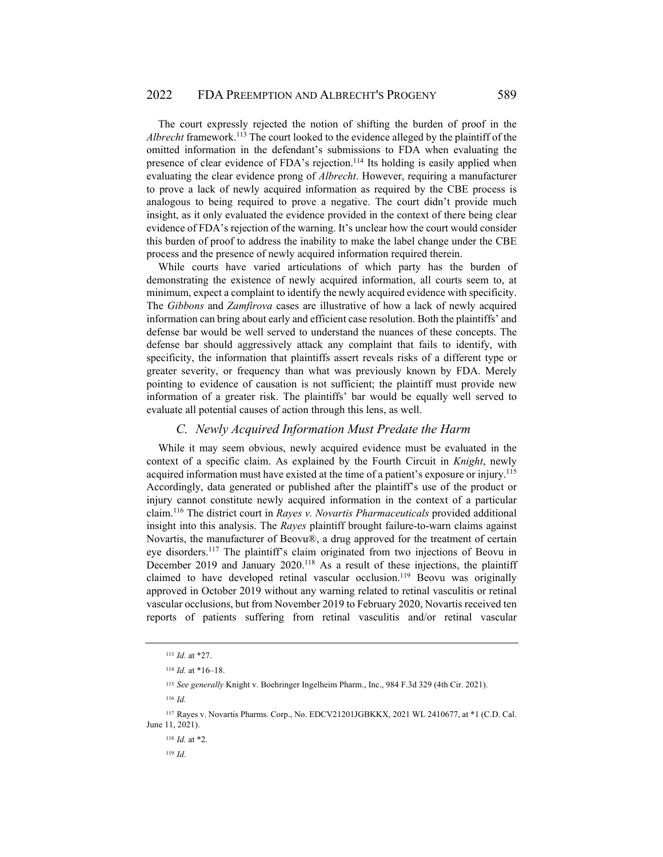The court expressly rejected the notion of shifting the burden of proof in the *Albrecht* framework.<sup>113</sup> The court looked to the evidence alleged by the plaintiff of the omitted information in the defendant's submissions to FDA when evaluating the presence of clear evidence of FDA's rejection.114 Its holding is easily applied when evaluating the clear evidence prong of *Albrecht*. However, requiring a manufacturer to prove a lack of newly acquired information as required by the CBE process is analogous to being required to prove a negative. The court didn't provide much insight, as it only evaluated the evidence provided in the context of there being clear evidence of FDA's rejection of the warning. It's unclear how the court would consider this burden of proof to address the inability to make the label change under the CBE process and the presence of newly acquired information required therein.

While courts have varied articulations of which party has the burden of demonstrating the existence of newly acquired information, all courts seem to, at minimum, expect a complaint to identify the newly acquired evidence with specificity. The *Gibbons* and *Zamfirova* cases are illustrative of how a lack of newly acquired information can bring about early and efficient case resolution. Both the plaintiffs' and defense bar would be well served to understand the nuances of these concepts. The defense bar should aggressively attack any complaint that fails to identify, with specificity, the information that plaintiffs assert reveals risks of a different type or greater severity, or frequency than what was previously known by FDA. Merely pointing to evidence of causation is not sufficient; the plaintiff must provide new information of a greater risk. The plaintiffs' bar would be equally well served to evaluate all potential causes of action through this lens, as well.

#### *C. Newly Acquired Information Must Predate the Harm*

While it may seem obvious, newly acquired evidence must be evaluated in the context of a specific claim. As explained by the Fourth Circuit in *Knight*, newly acquired information must have existed at the time of a patient's exposure or injury.<sup>115</sup> Accordingly, data generated or published after the plaintiff's use of the product or injury cannot constitute newly acquired information in the context of a particular claim.116 The district court in *Rayes v. Novartis Pharmaceuticals* provided additional insight into this analysis. The *Rayes* plaintiff brought failure-to-warn claims against Novartis, the manufacturer of Beovu®, a drug approved for the treatment of certain eye disorders.117 The plaintiff's claim originated from two injections of Beovu in December 2019 and January 2020.<sup>118</sup> As a result of these injections, the plaintiff claimed to have developed retinal vascular occlusion.<sup>119</sup> Beovu was originally approved in October 2019 without any warning related to retinal vasculitis or retinal vascular occlusions, but from November 2019 to February 2020, Novartis received ten reports of patients suffering from retinal vasculitis and/or retinal vascular

<sup>113</sup> *Id.* at \*27.

<sup>114</sup> *Id.* at \*16–18.

<sup>115</sup> *See generally* Knight v. Boehringer Ingelheim Pharm., Inc., 984 F.3d 329 (4th Cir. 2021).

<sup>116</sup> *Id.*

<sup>117</sup> Rayes v. Novartis Pharms. Corp., No. EDCV21201JGBKKX, 2021 WL 2410677, at \*1 (C.D. Cal. June 11, 2021).

<sup>118</sup> *Id.* at \*2.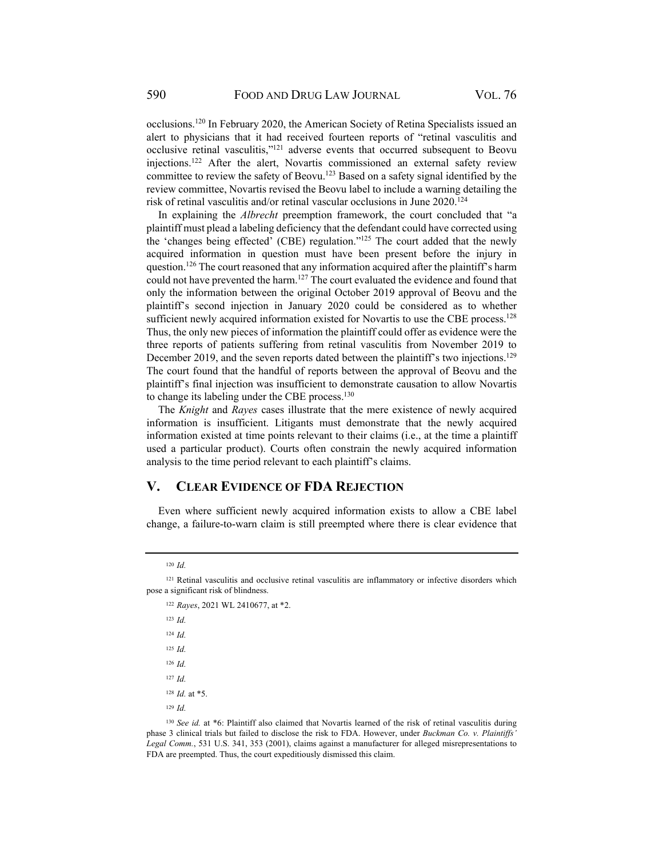occlusions.120 In February 2020, the American Society of Retina Specialists issued an alert to physicians that it had received fourteen reports of "retinal vasculitis and occlusive retinal vasculitis,"121 adverse events that occurred subsequent to Beovu injections.<sup>122</sup> After the alert, Novartis commissioned an external safety review committee to review the safety of Beovu.123 Based on a safety signal identified by the review committee, Novartis revised the Beovu label to include a warning detailing the risk of retinal vasculitis and/or retinal vascular occlusions in June 2020.124

In explaining the *Albrecht* preemption framework, the court concluded that "a plaintiff must plead a labeling deficiency that the defendant could have corrected using the 'changes being effected' (CBE) regulation."125 The court added that the newly acquired information in question must have been present before the injury in question.<sup>126</sup> The court reasoned that any information acquired after the plaintiff's harm could not have prevented the harm.<sup>127</sup> The court evaluated the evidence and found that only the information between the original October 2019 approval of Beovu and the plaintiff's second injection in January 2020 could be considered as to whether sufficient newly acquired information existed for Novartis to use the CBE process.<sup>128</sup> Thus, the only new pieces of information the plaintiff could offer as evidence were the three reports of patients suffering from retinal vasculitis from November 2019 to December 2019, and the seven reports dated between the plaintiff's two injections.<sup>129</sup> The court found that the handful of reports between the approval of Beovu and the plaintiff's final injection was insufficient to demonstrate causation to allow Novartis to change its labeling under the CBE process.<sup>130</sup>

The *Knight* and *Rayes* cases illustrate that the mere existence of newly acquired information is insufficient. Litigants must demonstrate that the newly acquired information existed at time points relevant to their claims (i.e., at the time a plaintiff used a particular product). Courts often constrain the newly acquired information analysis to the time period relevant to each plaintiff's claims.

#### **V. CLEAR EVIDENCE OF FDA REJECTION**

Even where sufficient newly acquired information exists to allow a CBE label change, a failure-to-warn claim is still preempted where there is clear evidence that

<sup>122</sup> *Rayes*, 2021 WL 2410677, at \*2.

<sup>123</sup> *Id.* <sup>124</sup> *Id.* <sup>125</sup> *Id.* <sup>126</sup> *Id.* <sup>127</sup> *Id.* <sup>128</sup> *Id.* at \*5. <sup>129</sup> *Id.*

<sup>130</sup> *See id.* at \*6: Plaintiff also claimed that Novartis learned of the risk of retinal vasculitis during phase 3 clinical trials but failed to disclose the risk to FDA. However, under *Buckman Co. v. Plaintiffs' Legal Comm.*, 531 U.S. 341, 353 (2001), claims against a manufacturer for alleged misrepresentations to FDA are preempted. Thus, the court expeditiously dismissed this claim.

<sup>120</sup> *Id.*

<sup>121</sup> Retinal vasculitis and occlusive retinal vasculitis are inflammatory or infective disorders which pose a significant risk of blindness.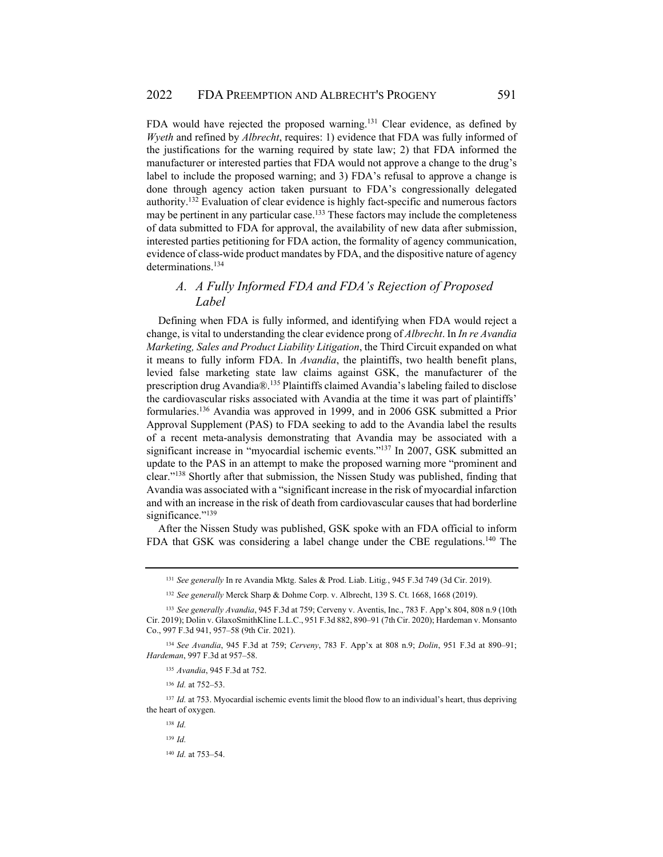FDA would have rejected the proposed warning.<sup>131</sup> Clear evidence, as defined by *Wyeth* and refined by *Albrecht*, requires: 1) evidence that FDA was fully informed of the justifications for the warning required by state law; 2) that FDA informed the manufacturer or interested parties that FDA would not approve a change to the drug's label to include the proposed warning; and 3) FDA's refusal to approve a change is done through agency action taken pursuant to FDA's congressionally delegated authority.132 Evaluation of clear evidence is highly fact-specific and numerous factors may be pertinent in any particular case.<sup>133</sup> These factors may include the completeness of data submitted to FDA for approval, the availability of new data after submission, interested parties petitioning for FDA action, the formality of agency communication, evidence of class-wide product mandates by FDA, and the dispositive nature of agency determinations.<sup>134</sup>

## *A. A Fully Informed FDA and FDA's Rejection of Proposed Label*

Defining when FDA is fully informed, and identifying when FDA would reject a change, is vital to understanding the clear evidence prong of *Albrecht*. In *In re Avandia Marketing, Sales and Product Liability Litigation*, the Third Circuit expanded on what it means to fully inform FDA. In *Avandia*, the plaintiffs, two health benefit plans, levied false marketing state law claims against GSK, the manufacturer of the prescription drug Avandia®.135 Plaintiffs claimed Avandia's labeling failed to disclose the cardiovascular risks associated with Avandia at the time it was part of plaintiffs' formularies.136 Avandia was approved in 1999, and in 2006 GSK submitted a Prior Approval Supplement (PAS) to FDA seeking to add to the Avandia label the results of a recent meta-analysis demonstrating that Avandia may be associated with a significant increase in "myocardial ischemic events."137 In 2007, GSK submitted an update to the PAS in an attempt to make the proposed warning more "prominent and clear."138 Shortly after that submission, the Nissen Study was published, finding that Avandia was associated with a "significant increase in the risk of myocardial infarction and with an increase in the risk of death from cardiovascular causes that had borderline significance."<sup>139</sup>

After the Nissen Study was published, GSK spoke with an FDA official to inform FDA that GSK was considering a label change under the CBE regulations.<sup>140</sup> The

<sup>136</sup> *Id.* at 752–53.

<sup>137</sup> *Id.* at 753. Myocardial ischemic events limit the blood flow to an individual's heart, thus depriving the heart of oxygen.

<sup>131</sup> *See generally* In re Avandia Mktg. Sales & Prod. Liab. Litig*.*, 945 F.3d 749 (3d Cir. 2019).

<sup>132</sup> *See generally* Merck Sharp & Dohme Corp. v. Albrecht, 139 S. Ct. 1668, 1668 (2019).

<sup>133</sup> *See generally Avandia*, 945 F.3d at 759; Cerveny v. Aventis, Inc., 783 F. App'x 804, 808 n.9 (10th Cir. 2019); Dolin v. GlaxoSmithKline L.L.C., 951 F.3d 882, 890–91 (7th Cir. 2020); Hardeman v. Monsanto Co., 997 F.3d 941, 957–58 (9th Cir. 2021).

<sup>134</sup> *See Avandia*, 945 F.3d at 759; *Cerveny*, 783 F. App'x at 808 n.9; *Dolin*, 951 F.3d at 890–91; *Hardeman*, 997 F.3d at 957–58.

<sup>135</sup> *Avandia*, 945 F.3d at 752.

<sup>138</sup> *Id.*

<sup>140</sup> *Id.* at 753–54.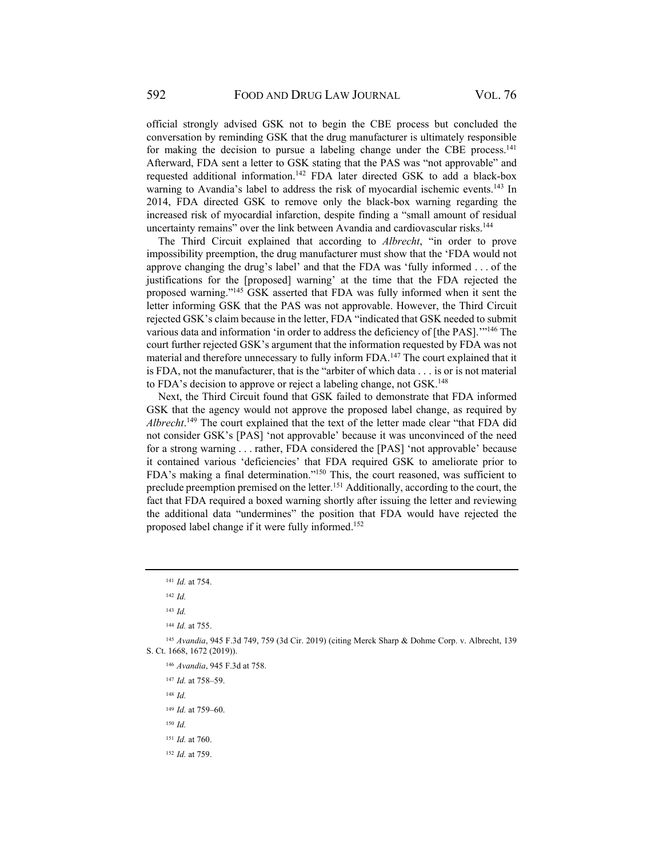official strongly advised GSK not to begin the CBE process but concluded the conversation by reminding GSK that the drug manufacturer is ultimately responsible for making the decision to pursue a labeling change under the CBE process.<sup>141</sup> Afterward, FDA sent a letter to GSK stating that the PAS was "not approvable" and requested additional information.142 FDA later directed GSK to add a black-box warning to Avandia's label to address the risk of myocardial ischemic events.<sup>143</sup> In 2014, FDA directed GSK to remove only the black-box warning regarding the increased risk of myocardial infarction, despite finding a "small amount of residual uncertainty remains" over the link between Avandia and cardiovascular risks.<sup>144</sup>

The Third Circuit explained that according to *Albrecht*, "in order to prove impossibility preemption, the drug manufacturer must show that the 'FDA would not approve changing the drug's label' and that the FDA was 'fully informed . . . of the justifications for the [proposed] warning' at the time that the FDA rejected the proposed warning."145 GSK asserted that FDA was fully informed when it sent the letter informing GSK that the PAS was not approvable. However, the Third Circuit rejected GSK's claim because in the letter, FDA "indicated that GSK needed to submit various data and information 'in order to address the deficiency of [the PAS]."<sup>146</sup> The court further rejected GSK's argument that the information requested by FDA was not material and therefore unnecessary to fully inform FDA.147 The court explained that it is FDA, not the manufacturer, that is the "arbiter of which data . . . is or is not material to FDA's decision to approve or reject a labeling change, not GSK.<sup>148</sup>

Next, the Third Circuit found that GSK failed to demonstrate that FDA informed GSK that the agency would not approve the proposed label change, as required by *Albrecht*. 149 The court explained that the text of the letter made clear "that FDA did not consider GSK's [PAS] 'not approvable' because it was unconvinced of the need for a strong warning . . . rather, FDA considered the [PAS] 'not approvable' because it contained various 'deficiencies' that FDA required GSK to ameliorate prior to FDA's making a final determination."150 This, the court reasoned, was sufficient to preclude preemption premised on the letter.<sup>151</sup> Additionally, according to the court, the fact that FDA required a boxed warning shortly after issuing the letter and reviewing the additional data "undermines" the position that FDA would have rejected the proposed label change if it were fully informed.152

<sup>147</sup> *Id.* at 758–59.

<sup>148</sup> *Id.*

<sup>149</sup> *Id.* at 759–60.

<sup>150</sup> *Id.*

152 *Id.* at 759.

<sup>141</sup> *Id.* at 754.

<sup>142</sup> *Id.*

<sup>143</sup> *Id.*

<sup>144</sup> *Id.* at 755.

<sup>145</sup> *Avandia*, 945 F.3d 749, 759 (3d Cir. 2019) (citing Merck Sharp & Dohme Corp. v. Albrecht, 139 S. Ct. 1668, 1672 (2019)).

<sup>146</sup> *Avandia*, 945 F.3d at 758.

<sup>151</sup> *Id.* at 760.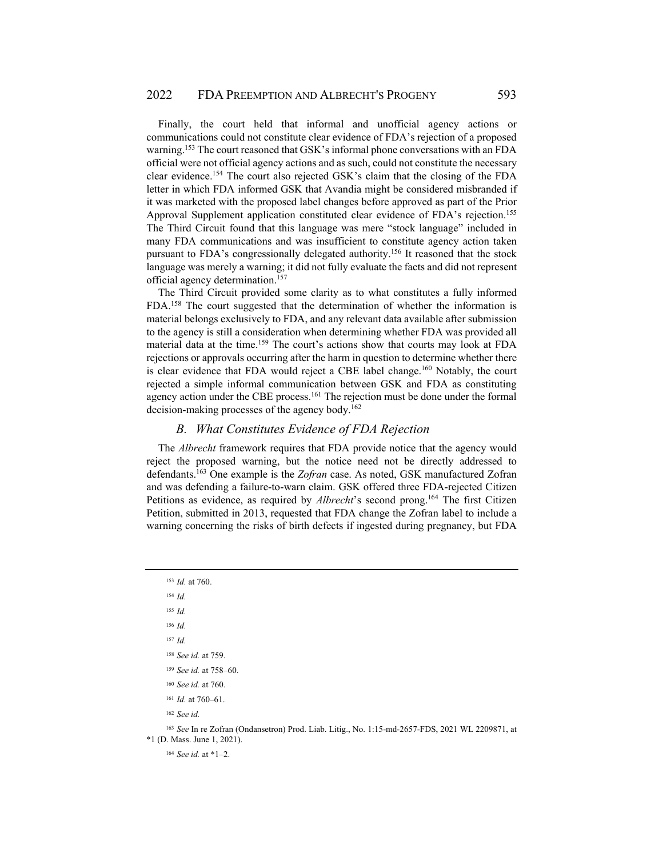Finally, the court held that informal and unofficial agency actions or communications could not constitute clear evidence of FDA's rejection of a proposed warning.<sup>153</sup> The court reasoned that GSK's informal phone conversations with an FDA official were not official agency actions and as such, could not constitute the necessary clear evidence.154 The court also rejected GSK's claim that the closing of the FDA letter in which FDA informed GSK that Avandia might be considered misbranded if it was marketed with the proposed label changes before approved as part of the Prior Approval Supplement application constituted clear evidence of FDA's rejection.<sup>155</sup> The Third Circuit found that this language was mere "stock language" included in many FDA communications and was insufficient to constitute agency action taken pursuant to FDA's congressionally delegated authority.156 It reasoned that the stock language was merely a warning; it did not fully evaluate the facts and did not represent official agency determination.157

The Third Circuit provided some clarity as to what constitutes a fully informed FDA.158 The court suggested that the determination of whether the information is material belongs exclusively to FDA, and any relevant data available after submission to the agency is still a consideration when determining whether FDA was provided all material data at the time.159 The court's actions show that courts may look at FDA rejections or approvals occurring after the harm in question to determine whether there is clear evidence that FDA would reject a CBE label change.<sup>160</sup> Notably, the court rejected a simple informal communication between GSK and FDA as constituting agency action under the CBE process.<sup>161</sup> The rejection must be done under the formal decision-making processes of the agency body.<sup>162</sup>

#### *B. What Constitutes Evidence of FDA Rejection*

The *Albrecht* framework requires that FDA provide notice that the agency would reject the proposed warning, but the notice need not be directly addressed to defendants.163 One example is the *Zofran* case. As noted, GSK manufactured Zofran and was defending a failure-to-warn claim. GSK offered three FDA-rejected Citizen Petitions as evidence, as required by *Albrecht*'s second prong.<sup>164</sup> The first Citizen Petition, submitted in 2013, requested that FDA change the Zofran label to include a warning concerning the risks of birth defects if ingested during pregnancy, but FDA

<sup>154</sup> *Id.*

<sup>155</sup> *Id.*

<sup>156</sup> *Id.*

<sup>157</sup> *Id.*

<sup>158</sup> *See id.* at 759.

<sup>159</sup> *See id.* at 758–60.

<sup>160</sup> *See id.* at 760.

<sup>161</sup> *Id.* at 760–61.

<sup>162</sup> *See id.*

<sup>163</sup> *See* In re Zofran (Ondansetron) Prod. Liab. Litig., No. 1:15-md-2657-FDS, 2021 WL 2209871, at \*1 (D. Mass. June 1, 2021).

<sup>164</sup> *See id.* at \*1–2.

<sup>153</sup> *Id.* at 760.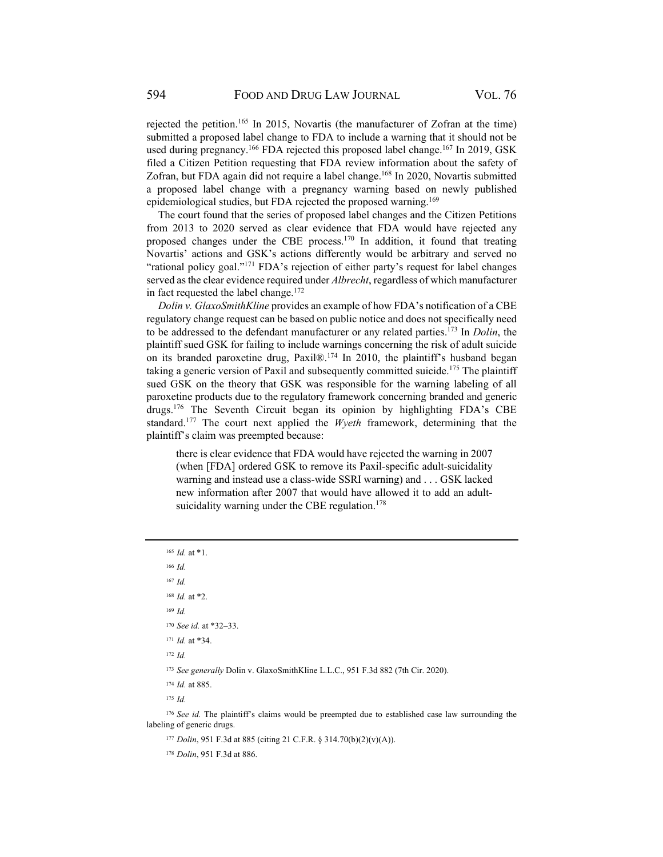rejected the petition.165 In 2015, Novartis (the manufacturer of Zofran at the time) submitted a proposed label change to FDA to include a warning that it should not be used during pregnancy.<sup>166</sup> FDA rejected this proposed label change.<sup>167</sup> In 2019, GSK filed a Citizen Petition requesting that FDA review information about the safety of Zofran, but FDA again did not require a label change.<sup>168</sup> In 2020, Novartis submitted a proposed label change with a pregnancy warning based on newly published epidemiological studies, but FDA rejected the proposed warning.<sup>169</sup>

The court found that the series of proposed label changes and the Citizen Petitions from 2013 to 2020 served as clear evidence that FDA would have rejected any proposed changes under the CBE process.170 In addition, it found that treating Novartis' actions and GSK's actions differently would be arbitrary and served no "rational policy goal."171 FDA's rejection of either party's request for label changes served as the clear evidence required under *Albrecht*, regardless of which manufacturer in fact requested the label change.<sup>172</sup>

*Dolin v. GlaxoSmithKline* provides an example of how FDA's notification of a CBE regulatory change request can be based on public notice and does not specifically need to be addressed to the defendant manufacturer or any related parties.173 In *Dolin*, the plaintiff sued GSK for failing to include warnings concerning the risk of adult suicide on its branded paroxetine drug, Paxil®.174 In 2010, the plaintiff's husband began taking a generic version of Paxil and subsequently committed suicide.<sup>175</sup> The plaintiff sued GSK on the theory that GSK was responsible for the warning labeling of all paroxetine products due to the regulatory framework concerning branded and generic drugs.176 The Seventh Circuit began its opinion by highlighting FDA's CBE standard.177 The court next applied the *Wyeth* framework, determining that the plaintiff's claim was preempted because:

there is clear evidence that FDA would have rejected the warning in 2007 (when [FDA] ordered GSK to remove its Paxil-specific adult-suicidality warning and instead use a class-wide SSRI warning) and . . . GSK lacked new information after 2007 that would have allowed it to add an adultsuicidality warning under the CBE regulation.<sup>178</sup>

<sup>165</sup> *Id.* at \*1.

<sup>166</sup> *Id.*

<sup>167</sup> *Id.*

<sup>168</sup> *Id.* at \*2.

<sup>169</sup> *Id.*

<sup>170</sup> *See id.* at \*32–33.

<sup>171</sup> *Id.* at \*34.

<sup>172</sup> *Id.*

<sup>173</sup> *See generally* Dolin v. GlaxoSmithKline L.L.C., 951 F.3d 882 (7th Cir. 2020).

<sup>174</sup> *Id.* at 885.

<sup>175</sup> *Id.*

<sup>176</sup> *See id.* The plaintiff's claims would be preempted due to established case law surrounding the labeling of generic drugs.

<sup>177</sup> *Dolin*, 951 F.3d at 885 (citing 21 C.F.R. § 314.70(b)(2)(v)(A)).

178 *Dolin*, 951 F.3d at 886.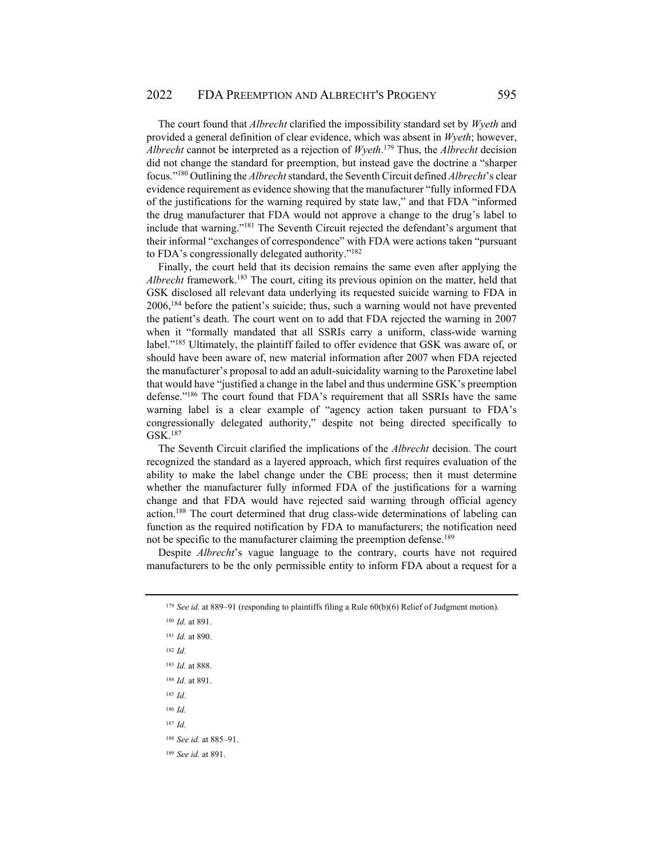The court found that *Albrecht* clarified the impossibility standard set by *Wyeth* and provided a general definition of clear evidence, which was absent in *Wyeth*; however, *Albrecht* cannot be interpreted as a rejection of *Wyeth*. 179 Thus, the *Albrecht* decision did not change the standard for preemption, but instead gave the doctrine a "sharper focus."180 Outlining the *Albrecht* standard, the Seventh Circuit defined *Albrecht*'s clear evidence requirement as evidence showing that the manufacturer "fully informed FDA of the justifications for the warning required by state law," and that FDA "informed the drug manufacturer that FDA would not approve a change to the drug's label to include that warning."181 The Seventh Circuit rejected the defendant's argument that their informal "exchanges of correspondence" with FDA were actions taken "pursuant to FDA's congressionally delegated authority."182

Finally, the court held that its decision remains the same even after applying the *Albrecht* framework.<sup>183</sup> The court, citing its previous opinion on the matter, held that GSK disclosed all relevant data underlying its requested suicide warning to FDA in 2006,184 before the patient's suicide; thus, such a warning would not have prevented the patient's death. The court went on to add that FDA rejected the warning in 2007 when it "formally mandated that all SSRIs carry a uniform, class-wide warning label."185 Ultimately, the plaintiff failed to offer evidence that GSK was aware of, or should have been aware of, new material information after 2007 when FDA rejected the manufacturer's proposal to add an adult-suicidality warning to the Paroxetine label that would have "justified a change in the label and thus undermine GSK's preemption defense."186 The court found that FDA's requirement that all SSRIs have the same warning label is a clear example of "agency action taken pursuant to FDA's congressionally delegated authority," despite not being directed specifically to GSK.187

The Seventh Circuit clarified the implications of the *Albrecht* decision. The court recognized the standard as a layered approach, which first requires evaluation of the ability to make the label change under the CBE process; then it must determine whether the manufacturer fully informed FDA of the justifications for a warning change and that FDA would have rejected said warning through official agency action.188 The court determined that drug class-wide determinations of labeling can function as the required notification by FDA to manufacturers; the notification need not be specific to the manufacturer claiming the preemption defense.<sup>189</sup>

Despite *Albrecht*'s vague language to the contrary, courts have not required manufacturers to be the only permissible entity to inform FDA about a request for a

- <sup>185</sup> *Id.*
- <sup>186</sup> *Id.*
- <sup>187</sup> *Id.*

<sup>189</sup> *See id.* at 891.

<sup>179</sup> *See id.* at 889–91 (responding to plaintiffs filing a Rule 60(b)(6) Relief of Judgment motion).

<sup>180</sup> *Id.* at 891.

<sup>181</sup> *Id.* at 890.

<sup>182</sup> *Id.*

<sup>183</sup> *Id.* at 888.

<sup>184</sup> *Id.* at 891.

<sup>188</sup> *See id.* at 885–91.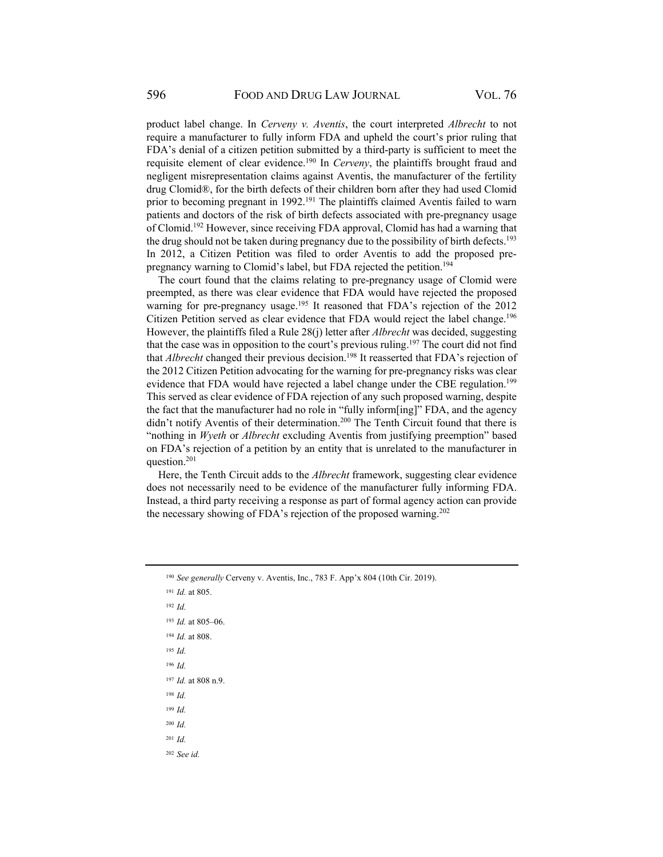product label change. In *Cerveny v. Aventis*, the court interpreted *Albrecht* to not require a manufacturer to fully inform FDA and upheld the court's prior ruling that FDA's denial of a citizen petition submitted by a third-party is sufficient to meet the requisite element of clear evidence.190 In *Cerveny*, the plaintiffs brought fraud and negligent misrepresentation claims against Aventis, the manufacturer of the fertility drug Clomid®, for the birth defects of their children born after they had used Clomid prior to becoming pregnant in 1992.<sup>191</sup> The plaintiffs claimed Aventis failed to warn patients and doctors of the risk of birth defects associated with pre-pregnancy usage of Clomid.192 However, since receiving FDA approval, Clomid has had a warning that the drug should not be taken during pregnancy due to the possibility of birth defects.<sup>193</sup> In 2012, a Citizen Petition was filed to order Aventis to add the proposed prepregnancy warning to Clomid's label, but FDA rejected the petition.<sup>194</sup>

The court found that the claims relating to pre-pregnancy usage of Clomid were preempted, as there was clear evidence that FDA would have rejected the proposed warning for pre-pregnancy usage.<sup>195</sup> It reasoned that FDA's rejection of the 2012 Citizen Petition served as clear evidence that FDA would reject the label change.<sup>196</sup> However, the plaintiffs filed a Rule 28(j) letter after *Albrecht* was decided, suggesting that the case was in opposition to the court's previous ruling.<sup>197</sup> The court did not find that *Albrecht* changed their previous decision.<sup>198</sup> It reasserted that FDA's rejection of the 2012 Citizen Petition advocating for the warning for pre-pregnancy risks was clear evidence that FDA would have rejected a label change under the CBE regulation.<sup>199</sup> This served as clear evidence of FDA rejection of any such proposed warning, despite the fact that the manufacturer had no role in "fully inform[ing]" FDA, and the agency didn't notify Aventis of their determination.<sup>200</sup> The Tenth Circuit found that there is "nothing in *Wyeth* or *Albrecht* excluding Aventis from justifying preemption" based on FDA's rejection of a petition by an entity that is unrelated to the manufacturer in question.201

Here, the Tenth Circuit adds to the *Albrecht* framework, suggesting clear evidence does not necessarily need to be evidence of the manufacturer fully informing FDA. Instead, a third party receiving a response as part of formal agency action can provide the necessary showing of FDA's rejection of the proposed warning.<sup>202</sup>

- <sup>192</sup> *Id.*
- <sup>193</sup> *Id.* at 805–06.
- <sup>194</sup> *Id.* at 808.
- <sup>195</sup> *Id.*
- <sup>196</sup> *Id.*
- <sup>197</sup> *Id.* at 808 n.9.
- <sup>198</sup> *Id.*
- <sup>199</sup> *Id.*
- <sup>200</sup> *Id.*
- <sup>201</sup> *Id.*

<sup>202</sup> *See id.*

<sup>190</sup> *See generally* Cerveny v. Aventis, Inc., 783 F. App'x 804 (10th Cir. 2019).

<sup>191</sup> *Id.* at 805.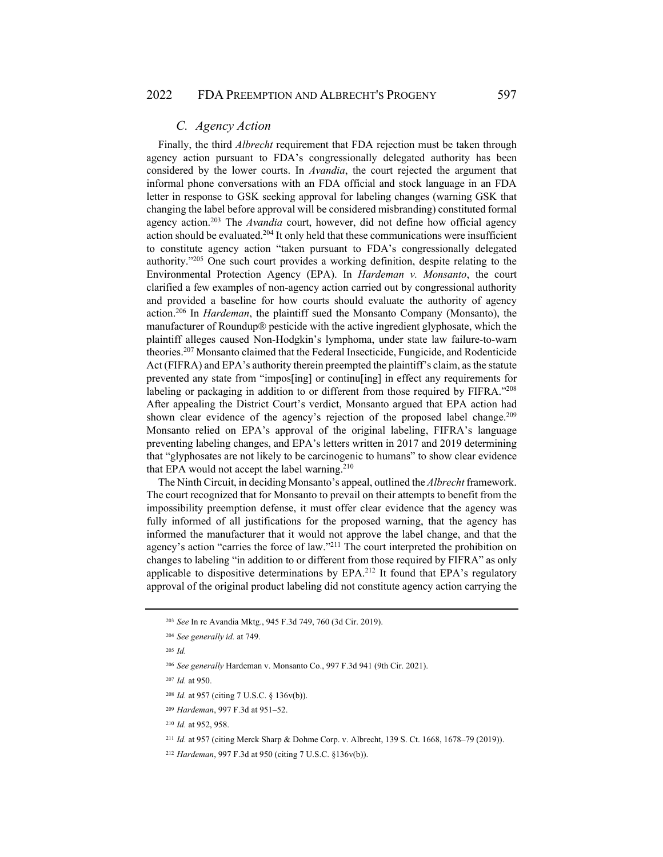### *C. Agency Action*

Finally, the third *Albrecht* requirement that FDA rejection must be taken through agency action pursuant to FDA's congressionally delegated authority has been considered by the lower courts. In *Avandia*, the court rejected the argument that informal phone conversations with an FDA official and stock language in an FDA letter in response to GSK seeking approval for labeling changes (warning GSK that changing the label before approval will be considered misbranding) constituted formal agency action.203 The *Avandia* court, however, did not define how official agency action should be evaluated.<sup>204</sup> It only held that these communications were insufficient to constitute agency action "taken pursuant to FDA's congressionally delegated authority."205 One such court provides a working definition, despite relating to the Environmental Protection Agency (EPA). In *Hardeman v. Monsanto*, the court clarified a few examples of non-agency action carried out by congressional authority and provided a baseline for how courts should evaluate the authority of agency action.206 In *Hardeman*, the plaintiff sued the Monsanto Company (Monsanto), the manufacturer of Roundup® pesticide with the active ingredient glyphosate, which the plaintiff alleges caused Non-Hodgkin's lymphoma, under state law failure-to-warn theories.207 Monsanto claimed that the Federal Insecticide, Fungicide, and Rodenticide Act (FIFRA) and EPA's authority therein preempted the plaintiff's claim, as the statute prevented any state from "impos[ing] or continu[ing] in effect any requirements for labeling or packaging in addition to or different from those required by FIFRA."208 After appealing the District Court's verdict, Monsanto argued that EPA action had shown clear evidence of the agency's rejection of the proposed label change.<sup>209</sup> Monsanto relied on EPA's approval of the original labeling, FIFRA's language preventing labeling changes, and EPA's letters written in 2017 and 2019 determining that "glyphosates are not likely to be carcinogenic to humans" to show clear evidence that EPA would not accept the label warning.<sup>210</sup>

The Ninth Circuit, in deciding Monsanto's appeal, outlined the *Albrecht* framework. The court recognized that for Monsanto to prevail on their attempts to benefit from the impossibility preemption defense, it must offer clear evidence that the agency was fully informed of all justifications for the proposed warning, that the agency has informed the manufacturer that it would not approve the label change, and that the agency's action "carries the force of law."211 The court interpreted the prohibition on changes to labeling "in addition to or different from those required by FIFRA" as only applicable to dispositive determinations by EPA.212 It found that EPA's regulatory approval of the original product labeling did not constitute agency action carrying the

<sup>203</sup> *See* In re Avandia Mktg., 945 F.3d 749, 760 (3d Cir. 2019).

<sup>204</sup> *See generally id.* at 749.

<sup>205</sup> *Id.*

<sup>206</sup> *See generally* Hardeman v. Monsanto Co., 997 F.3d 941 (9th Cir. 2021).

<sup>207</sup> *Id.* at 950.

<sup>208</sup> *Id.* at 957 (citing 7 U.S.C. § 136v(b)).

<sup>209</sup> *Hardeman*, 997 F.3d at 951–52.

<sup>210</sup> *Id.* at 952, 958.

<sup>211</sup> *Id.* at 957 (citing Merck Sharp & Dohme Corp. v. Albrecht, 139 S. Ct. 1668, 1678–79 (2019)).

<sup>212</sup> *Hardeman*, 997 F.3d at 950 (citing 7 U.S.C. §136v(b)).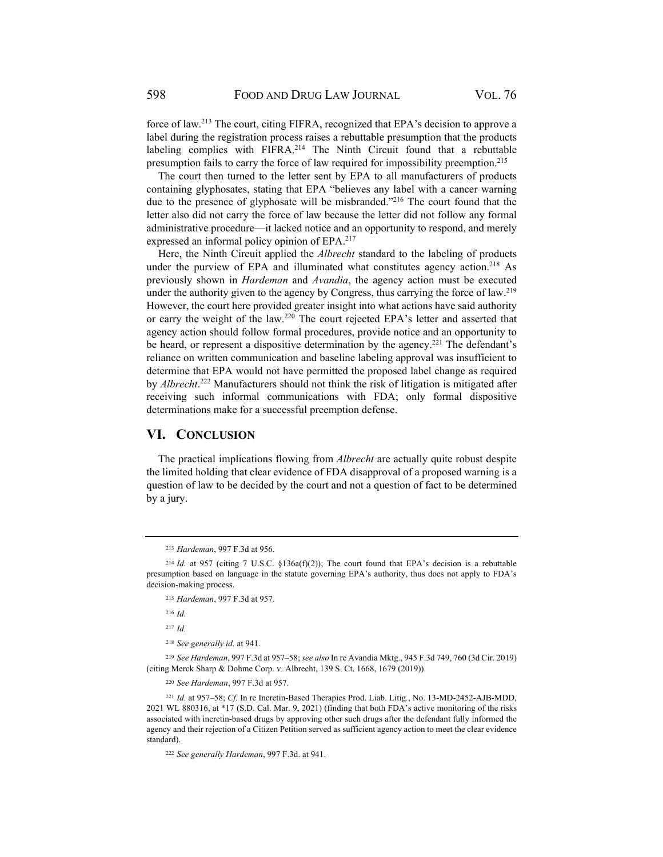force of law.213 The court, citing FIFRA, recognized that EPA's decision to approve a label during the registration process raises a rebuttable presumption that the products labeling complies with FIFRA.<sup>214</sup> The Ninth Circuit found that a rebuttable presumption fails to carry the force of law required for impossibility preemption.215

The court then turned to the letter sent by EPA to all manufacturers of products containing glyphosates, stating that EPA "believes any label with a cancer warning due to the presence of glyphosate will be misbranded."<sup>216</sup> The court found that the letter also did not carry the force of law because the letter did not follow any formal administrative procedure—it lacked notice and an opportunity to respond, and merely expressed an informal policy opinion of EPA.<sup>217</sup>

Here, the Ninth Circuit applied the *Albrecht* standard to the labeling of products under the purview of EPA and illuminated what constitutes agency action.<sup>218</sup> As previously shown in *Hardeman* and *Avandia*, the agency action must be executed under the authority given to the agency by Congress, thus carrying the force of law.<sup>219</sup> However, the court here provided greater insight into what actions have said authority or carry the weight of the law.220 The court rejected EPA's letter and asserted that agency action should follow formal procedures, provide notice and an opportunity to be heard, or represent a dispositive determination by the agency.<sup>221</sup> The defendant's reliance on written communication and baseline labeling approval was insufficient to determine that EPA would not have permitted the proposed label change as required by *Albrecht*. 222 Manufacturers should not think the risk of litigation is mitigated after receiving such informal communications with FDA; only formal dispositive determinations make for a successful preemption defense.

#### **VI. CONCLUSION**

The practical implications flowing from *Albrecht* are actually quite robust despite the limited holding that clear evidence of FDA disapproval of a proposed warning is a question of law to be decided by the court and not a question of fact to be determined by a jury.

<sup>216</sup> *Id.*

<sup>217</sup> *Id.*

<sup>218</sup> *See generally id.* at 941.

<sup>219</sup> *See Hardeman*, 997 F.3d at 957–58; *see also* In re Avandia Mktg., 945 F.3d 749, 760 (3d Cir. 2019) (citing Merck Sharp & Dohme Corp. v. Albrecht, 139 S. Ct. 1668, 1679 (2019)).

<sup>220</sup> *See Hardeman*, 997 F.3d at 957.

<sup>221</sup> *Id.* at 957–58; *Cf.* In re Incretin-Based Therapies Prod. Liab. Litig*.*, No. 13-MD-2452-AJB-MDD, 2021 WL 880316, at \*17 (S.D. Cal. Mar. 9, 2021) (finding that both FDA's active monitoring of the risks associated with incretin-based drugs by approving other such drugs after the defendant fully informed the agency and their rejection of a Citizen Petition served as sufficient agency action to meet the clear evidence standard).

<sup>222</sup> *See generally Hardeman*, 997 F.3d. at 941.

<sup>213</sup> *Hardeman*, 997 F.3d at 956.

<sup>&</sup>lt;sup>214</sup> Id. at 957 (citing 7 U.S.C. §136a(f)(2)); The court found that EPA's decision is a rebuttable presumption based on language in the statute governing EPA's authority, thus does not apply to FDA's decision-making process.

<sup>215</sup> *Hardeman*, 997 F.3d at 957.